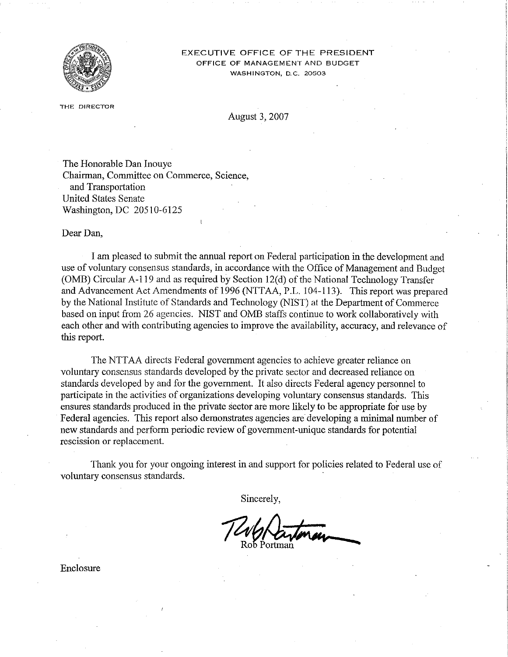

#### EXECUTIVE OFFICE OF THE PRESIDENT OFFiCE OF MANAGEMENT AND BUDGET **WASHINGTON, D.C. 20503**

**THE DIRECTOR** 

August 3, 2007

The Honorable Dan Inouye Chairman, Committee on Commerce, Science, and Transportation United States Senate Washington, DC 20510-6125

Dear Dan,

I am pleased to submit the annual report on Federal participation in the development and use of voluntary consensus standards, in accordance with the Office of Management and Budget (OMB) Circular A-1l9 and as required by Section 12(d) of the National Technology Transfer and Advancement Act Amendments of 1996 (NTTAA, P.L. 104-113). This report was prepared by the National Institute of Standards and Technology (NIST) at the Department of Commerce based on input from 26 agencies. NIST and OMB staffs continue to work collaboratively with each other and with contributing agencies to improve the availability, accuracy, and relevance of this report.

The NTTAA directs Federal govermnent agencies to achieve greater reliance on voluntary consensus standards developed by the private sector and decreased reliance on standards developed by and for the govermnent. It also directs Federal agency personnel to participate in the activities of organizations developing voluntary consensus standards. This ensures standards produced in the private sector are more likely to be appropriate for use by Federal agencies. This report also demonstrates agencies are developing a minimal number of new standards and perform periodic review of government-unique standards for potential rescission or replacement.

Thank you for your ongoing interest in and support for policies related to Federal use of voluntary consensus standards. .

Sincerely,

Enclosure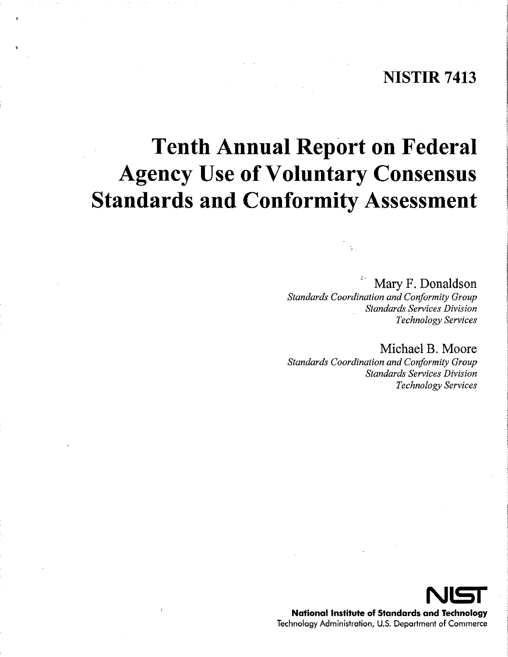# **NISTIR 7413**

# **Tenth Annual Report on Federal Agency Use** of Voluntary **Consensus Standards and Conformity Assessment**

# Mary F. Donaldson

*Standards Coordination and Conformity Group Standards Services Division Technology Services* 

Michael B. Moore *Standards Coordination and Conformity Group Standards Services Division Technology Services* 



**National Institute of Standards and Technology**  Technology Administration, U.S. Deportment of Commerce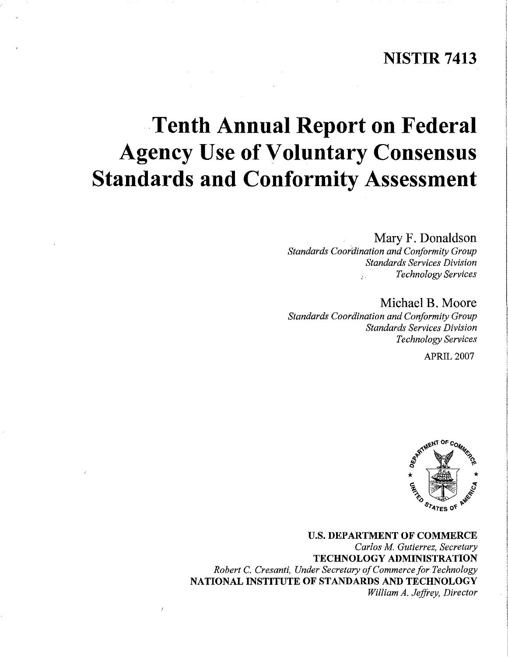# **NISTIR 7413**

# **Tenth Annual Report on Federal Agency Use** of Voluntary **Consensus Standards and Conformity Assessment**

Mary F. Donaldson *Standards Coordination and Conformity Group Standards Services Division Technology Services* 

Michael B. Moore *Standards Coordination and Conformity Group Standards Services Division Technology Services* 

APRIL 2007



U.S. **DEPARTMENT OF COMMERCE**  *Carlos M Gutierrez, Secretary*  **TECHNOLOGY ADMINISTRATION**  *Robert* C. *Cresanti, Under Secretary ofCommerce for Technology*  **NATIONAL INSTITUTE OF STANDARDS AND TECHNOLOGY**  *William A. Jeffrey, Director*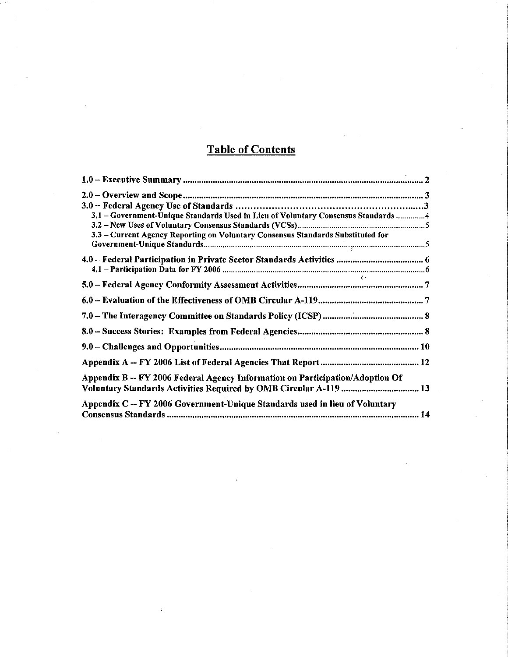# Table of Contents

| 3.1 - Government-Unique Standards Used in Lieu of Voluntary Consensus Standards4                                                                   |  |
|----------------------------------------------------------------------------------------------------------------------------------------------------|--|
|                                                                                                                                                    |  |
| 3.3 - Current Agency Reporting on Voluntary Consensus Standards Substituted for                                                                    |  |
|                                                                                                                                                    |  |
|                                                                                                                                                    |  |
|                                                                                                                                                    |  |
|                                                                                                                                                    |  |
|                                                                                                                                                    |  |
|                                                                                                                                                    |  |
|                                                                                                                                                    |  |
|                                                                                                                                                    |  |
| Appendix B -- FY 2006 Federal Agency Information on Participation/Adoption Of<br>Voluntary Standards Activities Required by OMB Circular A-119  13 |  |
|                                                                                                                                                    |  |
| Appendix C -- FY 2006 Government-Unique Standards used in lieu of Voluntary                                                                        |  |
|                                                                                                                                                    |  |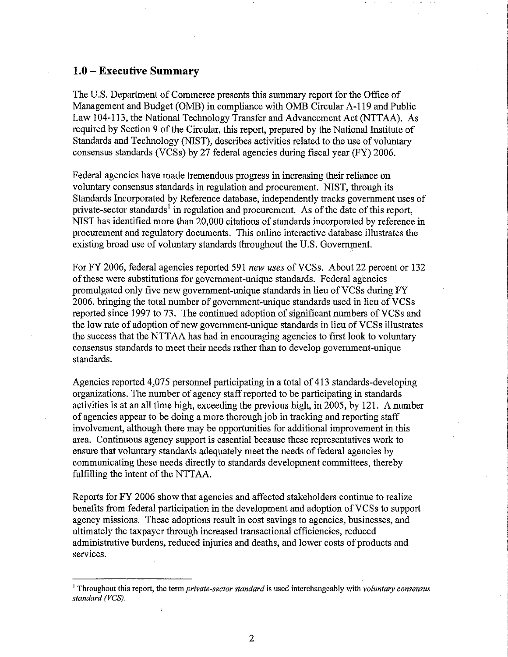#### **1.0 - Executive Summary**

The U.S. Department of Commerce presents this summary report for the Office of Management and Budget (OMB) in compliance with OMB Circular A-119 and Public Law 104-113, the National Technology Transfer and Advancement Act (NTTAA). As required by Section 9 of the Circular, this report, prepared by the National Institute of Standards and Technology (NIST), describes activities related to the use of voluntary consensus standards (VCSs) by 27 federal agencies during fiscal year (FY) 2006.

Federal agencies have made tremendous progress in increasing their reliance on voluntary consensus standards in regulation and procurement. NIST, through its Standards Incorporated by Reference database, independently tracks government uses of private-sector standards<sup>1</sup> in regulation and procurement. As of the date of this report, NIST has identified more than 20,000 citations of standards incorporated by reference in procurement and regulatory documents. This online interactive database illustrates the existing broad use of voluntary standards throughout the U.S. Government.

For FY 2006, federal agencies reported 591 *new uses* ofVCSs. About 22 percent or 132 of these were substitutions for government-unique standards. Federal agencies promulgated only five new government-unique standards in lieu of VCSs during FY 2006, bringing the total number of government-unique standards used in lieu of VCSs reported since 1997 to 73. The continued adoption of significant numbers of VCSs and the low rate of adoption of new government-unique standards in lieu of VCSs illustrates the success that the NTTAA has had in encouraging agencies to first look to voluntary consensus standards to meet their needs rather than to develop government-unique standards.

Agencies reported 4,075 personnel participating in a total of 413 standards-developing organizations. The number of agency staff reported to be participating in standards activities is at an all time high, exceeding the previous high, in 2005, by 121. A number of agencies appear to be doing a more thorough job in tracking and reporting staff involvement, although there may be opportunities for additional improvement in this area. Continuous agency support is essential because these representatives work to ensure that voluntary standards adequately meet the needs of federal agencies by communicating these needs directly to standards development committees, thereby fulfilling the intent of the NTTAA.

Reports for FY 2006 show that agencies and affected stakeholders continue to realize benefits from federal participation in the development and adoption of VCSs to support agency missions. These adoptions result in cost savings to agencies, businesses, and ultimately the taxpayer through increased transactional efficiencies, reduced administrative burdens, reduced injuries and deaths, and lower costs of products and services.

<sup>&</sup>lt;sup>1</sup> Throughout this report, the term *private-sector standard* is used interchangeably with *voluntary consensus standard (VCS).*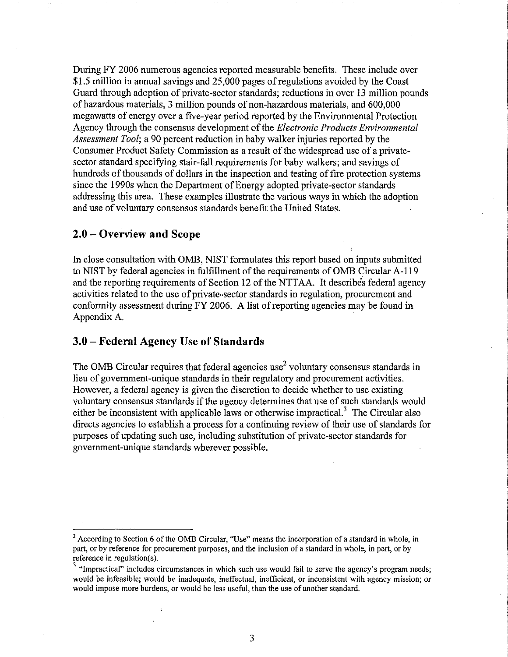During FY 2006 numerous agencies reported measurable benefits. These include over \$1.5 million in annual savings and 25,000 pages of regulations avoided by the Coast Guard through adoption of private-sector standards; reductions in over 13 million pounds of hazardous materials, 3 million pounds of non-hazardous materials, and 600,000 megawatts of energy over a five-year period reported by the Enviromnental Protection Agency through the consensus development of the *Electronic Products Environmental Assessment Tool;* a 90 percent reduction in baby walker injuries reported by the Consumer Product Safety Commission as a result of the widespread use of a privatesector standard specifying stair-fall requirements for baby walkers; and savings of hundreds of thousands of dollars in the inspection and testing of fire protection systems since the 1990s when the Department of Energy adopted private-sector standards addressing this area. These examples illustrate the various ways in which the adoption and use of voluntary consensus standards benefit the United States.

#### **2.0 - Overview and Scope**

In close consultation with OMB, NIST formulates this report based on inputs submitted to NIST by federal agencies in fulfillment of the requirements of OMB Circular A-119 and the reporting requirements of Section 12 of the NTTAA. It describes federal agency activities related to the use of private-sector standards in regulation, procurement and conformity assessment during FY 2006. A list of reporting agencies may be found in Appendix A.

#### **3.0 - Federal Agency Use of Standards**

The OMB Circular requires that federal agencies use<sup>2</sup> voluntary consensus standards in lieu of govermnent-unique standards in their regulatory and procurement activities. However, a federal agency is given the discretion to decide whether to use existing voluntary consensus standards if the agency determines that use of such standards would either be inconsistent with applicable laws or otherwise impractical.<sup>3</sup> The Circular also directs agencies to establish a process for a continuing review of their use of standards for purposes of updating such use, including substitution of private-sector standards for govermnent-unique standards wherever possible.

**<sup>2</sup> According to Section 6** of the **OMB Circular, "Use" means the incorporation of a standard in whole, in**  part, or by reference for procurement purposes, and the inclusion of a standard in whole, in part, or by reference in regulation(s).

<sup>&</sup>lt;sup>3</sup> "Impractical" includes circumstances in which such use would fail to serve the agency's program needs; **would be infeasible; would be inadequate, ineffectual, inefficient, or inconsistent with agency mission; or**  would impose more burdens, or would be less useful, than the use of another standard.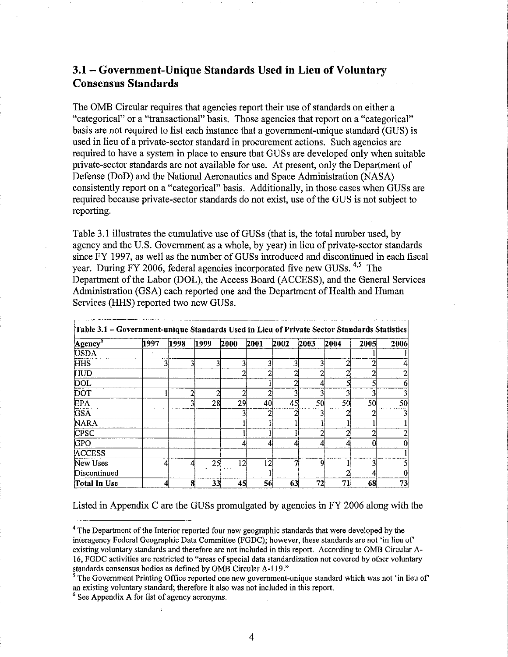## 3.1- Government-Unique Standards Used in Lieu of Voluntary Consensus Standards

The OMB Circular requires that agencies report their use of standards on either a "categorical" or a "transactional" basis. Those agencies that report on a "categorical" basis are not required to list each instance that a government-unique standard (GUS) is used in lieu of a private-sector standard in procurement actions. Such agencies are required to have a system in place to ensure that GUSs are developed only when suitable private-sector standards are not available for use. At present, only the Department of Defense (DoD) and the National Aeronautics and Space Administration (NASA) consistently report on a "categorical" basis. Additionally, in those cases when GUSs are required because private-sector standards do not exist, use of the GUS is not subject to reporting.

Table 3.1 illustrates the cumulative use of GUSs (that is, the total number used, by agency and the U.S. Government as a whole, by year) in lieu of private-sector standards since FY 1997, as well as the number of GUSs introduced and discontinued in each fiscal year. During FY 2006, federal agencies incorporated five new GUSs. <sup>4,5</sup> The Department of the Labor (DOL), the Access Board (ACCESS), and the General Services Administration (GSA) each reported one and the Department of Health and Human Services (HHS) reported two new GUSs.

| Table 3.1 - Government-unique Standards Used in Lieu of Private Sector Standards Statistics |      |   |      |                 |                 |      |      |      |      |      |      |      |
|---------------------------------------------------------------------------------------------|------|---|------|-----------------|-----------------|------|------|------|------|------|------|------|
| Agency <sup>®</sup>                                                                         | 1997 |   | 1998 |                 | 1999            | 2000 | 2001 | 2002 | 2003 | 2004 | 2005 | 2006 |
| <b>USDA</b>                                                                                 |      |   |      |                 |                 |      |      |      |      |      |      |      |
| <b>HHS</b>                                                                                  |      |   |      | 31              | 3               |      |      | 3    |      |      |      |      |
| HUD                                                                                         |      |   |      |                 |                 |      | σ    |      |      |      |      |      |
| DOL.                                                                                        |      |   |      |                 |                 |      |      |      |      |      |      |      |
| DOT                                                                                         |      |   |      | $2\overline{ }$ | 2               |      |      | 3    |      | ŋ    |      |      |
| <b>EPA</b>                                                                                  |      |   |      | 3               | 28              | 29   | 40   | 45   | 50   | 50   | 50   | 50   |
| <b>GSA</b>                                                                                  |      |   |      |                 |                 |      |      |      |      |      |      |      |
| <b>NARA</b>                                                                                 |      |   |      |                 |                 |      |      |      |      |      |      |      |
| <b>CPSC</b>                                                                                 |      |   |      |                 |                 |      |      |      |      |      |      |      |
| <b>GPO</b>                                                                                  |      |   |      |                 |                 |      |      | 4    |      |      |      |      |
| <b>ACCESS</b>                                                                               |      |   |      |                 |                 |      |      |      |      |      |      |      |
| New Uses                                                                                    |      | 4 |      | 4               | 25 <sup>1</sup> | 12   | 12   | ۰,   | -9   |      |      |      |
| Discontinued                                                                                |      |   |      |                 |                 |      |      |      |      |      |      |      |
| Total In Use                                                                                |      | 4 |      | 8               | 33              | 45   | 56   | 63   | 72   | 71   | 68   | 73   |

Listed in Appendix C are the GUSs promulgated by agencies in FY 2006 along with the

<sup>&</sup>lt;sup>4</sup> The Department of the Interior reported four new geographic standards that were developed by the interagency Federal Geographic Data Committee (FGDC); however, these standards are not 'in lieu of existing voluntary standards and therefore are not included in this report. According to OMB Circular A 16, FGDC activities are restricted to "areas of special data standardization not covered by other voluntary standards consensus bodies as defined by OMB Circular A-119."

<sup>&</sup>lt;sup>5</sup> The Government Printing Office reported one new government-unique standard which was not 'in lieu of an existing voluntary standard; therefore it also was not included in this report.

 $6$  See Appendix A for list of agency acronyms.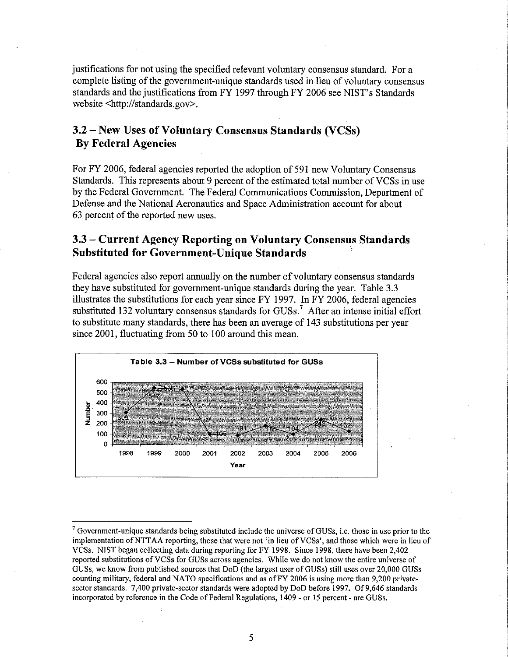justifications for not using the specified relevant voluntary consensus standard. For a complete listing of the government-unique standards used in lieu of voluntary consensus standards and the justifications from FY 1997 through FY 2006 see NISI's Standards website <http://standards.gov>.

## **3.2 - New Uses** of Voluntary **Consensus Standards (VCSs) By Federal Agencies**

For FY 2006, federal agencies reported the adoption of 591 new Voluntary Consensus Standards. This represents about 9 percent of the estimated total number of VCSs in use by the Federal Government. The Federal Communications Commission, Department of Defense and the National Aeronautics and Space Administration account for about 63 percent of the reported new uses.

### **3.3 - Current Agency Reporting on Voluntary Consensus Standards Substituted for Government-Unique Standards .**

Federal agencies also report annually on the number of voluntary consensus standards they have substituted for government-unique standards during the year. Table 3.3 illustrates the substitutions for each year since FY 1997. In FY 2006, federal agencies substituted 132 voluntary consensus standards for  $GUSs<sup>7</sup>$ . After an intense initial effort to substitute many standards, there has been an average of 143 substitutions per year since 2001, fluctuating from 50 to 100 around this mean.



 $7$  Government-unique standards being substituted include the universe of GUSs, i.e. those in use prior to the implementation of NTTAA reporting, those that were not 'in lieu of VCSs', and those which were in lieu of VCSs. NIST began collecting data during reporting for FY 1998. Since 1998, there have been 2,402 reported substitutions ofVCSs for GUSs across agencies. While we do not know the entire universe of GUSs, we know from published sources that DoD (the largest user of GUSs) still uses over 20,000 GUSs counting military, federal and NATO specifications and as ofFY 2006 is using more than 9,200 privatesector standards. 7,400 private-sector standards were adopted by DoD before 1997. Of 9,646 standards incorporated by reference in the Code of Federal Regulations, 1409 - or 15 percent - are GUSs.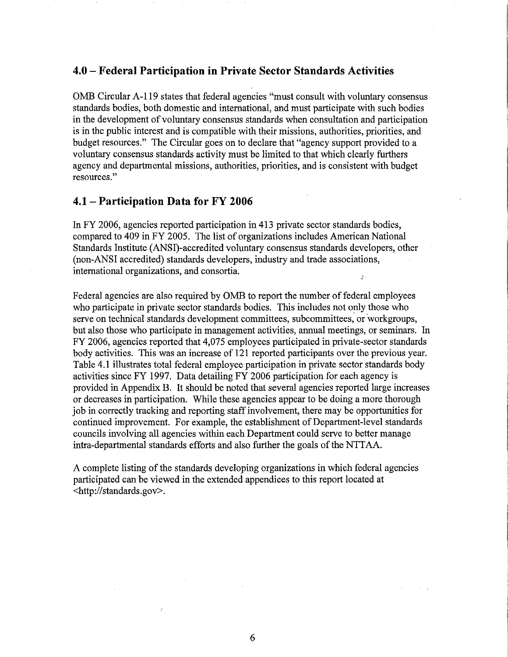#### **4.0 - Federal Participation in Private Sector Standards Activities**

OMB Circular A-119 states that federal agencies "must consult with voluntary consensus standards bodies, both domestic and international, and must participate with such bodies in the development of voluntary consensus standards when consultation and participation is in the public interest and is compatible with their missions, authorities, priorities, and budget resources." The Circular goes on to declare that "agency support provided to a voluntary consensus standards activity must be limited to that which clearly furthers agency and departmental missions, authorities, priorities, and is consistent with budget **resources."** 

#### **4.1 - Participation Data for FY 2006**

In FY 2006, agencies reported participation in 413 private sector standards bodies, compared to 409 in FY 2005. The list of organizations includes American National Standards Institute (ANSI)-accredited voluntary consensus standards developers, other (non-ANSI accredited) standards developers, industry and trade associations, international organizations, and consortia.  $\mathcal{L}$ 

Federal agencies are also required by OMB to report the number of federal employees who participate in private sector standards bodies. This includes not only those who serve on technical standards development committees, subcommittees, or 'workgroups, but also those who participate in management activities, annual meetings, or seminars. In FY 2006, agencies reported that 4,075 employees participated in private-sector standards body activities. This was an increase of 121 reported participants over the previous year. Table 4.1 illustrates total federal employee participation in private sector standards body activities since FY 1997. Data detailing FY 2006 participation for each agency is provided in Appendix B. It should be noted that several agencies reported large increases or decreases in participation. While these agencies appear to be doing a more thorough job in correctly tracking and reporting staff involvement, there may be opportunities for continued improvement. For example, the establishment of Department-level standards councils involving all agencies within each Department could serve to better manage intra-departmental standards efforts and also further the goals of the NTTAA.

A complete listing of the standards developing organizations in which federal agencies participated can be viewed in the extended appendices to this report located at <http://standards.gov>.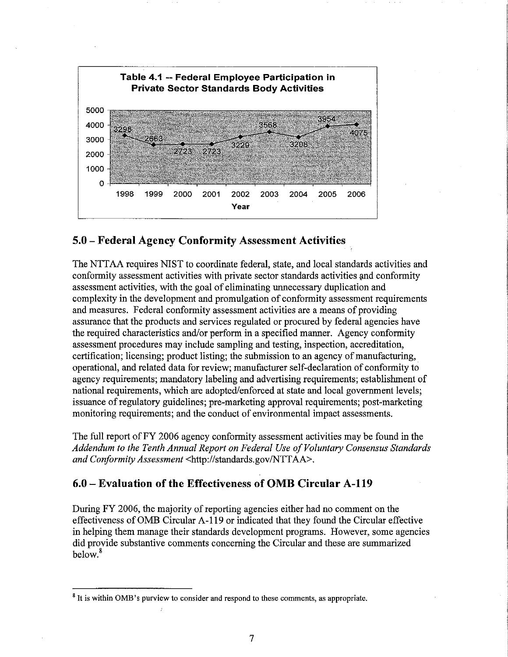

## **5.0 - Federal Agency Conformity Assessment Activities**

The NTTAA requires NIST to coordinate federal, state, and local standards activities and conformity assessment activities with private sector standards activities and conformity assessment activities, with the goal of eliminating unnecessary duplication and complexity in the development and promulgation of conformity assessment requirements and measures. Federal conformity assessment activities are a means of providing assurance that the products and services regulated or procured by federal agencies have the required characteristics and/or perform in a specified marmer. Agency conformity assessment procedures may include sampling and testing, inspection, accreditation, certification; licensing; product listing; the submission to an agency of manufacturing, operational, and related data for review; manufacturer self-declaration of conformity to agency requirements; mandatory labeling and advertising requirements; establishment of national requirements, which are adopted/enforced at state and local government levels; issuance of regulatory guidelines; pre-marketing approval requirements; post-marketing monitoring requirements; and the conduct of environmental impact assessments.

The full report of FY 2006 agency conformity assessment activities may be found in the Addendum to the Tenth Annual Report on Federal Use of Voluntary Consensus Standards *and Conformity Assessment* <http://standards.gov/NTTAA>.

## **6.0 - Evaluation of the Effectiveness of OMB Circular A-119**

During FY 2006, the majority of reporting agencies either had no comment on the effectiveness ofOMB Circular A-119 or indicated that they found the Circular effective in helping them manage their standards development programs. However, some agencies did provide substantive comments concerning the Circular and these are summarized below.<sup>8</sup>

<sup>8</sup>**It is within OMB's purview to consider and respond to these comments, as appropriate.**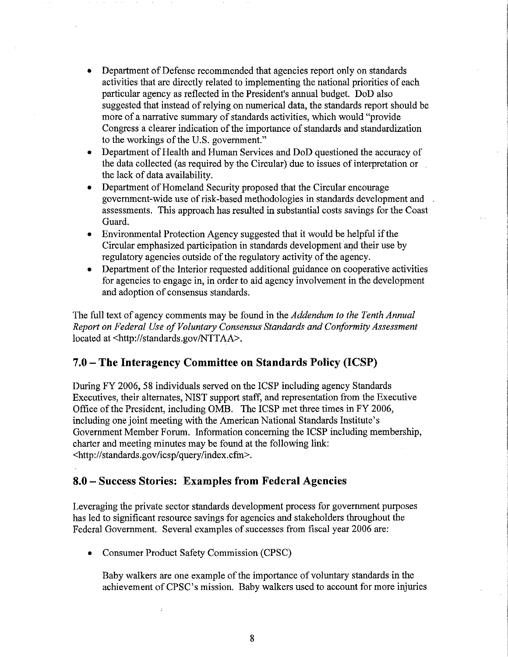- Department of Defense recommended that agencies report only on standards activities that are directly related to implementing the national priorities of each particular agency as reflected in the President's annual budget. DoD also suggested that instead of relying on numerical data, the standards report should be more of a narrative summary of standards activities, which would "provide Congress a clearer indication of the importance of standards and standardization to the workings of the U.S. government."
- Department of Health and Human Services and DoD questioned the accuracy of the data collected (as required by the Circular) due to issues of interpretation or the lack of data availability.
- Department of Homeland Security proposed that the Circular encourage government-wide use of risk-based methodologies in standards development and assessments. This approach has resulted in substantial costs savings for the Coast Guard.
- Environmental Protection Agency suggested that it would be helpful if the Circular emphasized participation in standards development and their use by regulatory agencies outside of the regulatory activity of the agency.
- Department of the Interior requested additional guidance on cooperative activities for agencies to engage in, in order to aid agency involvement in the development and adoption of consensus standards.

The full text of agency comments may be found in the *Addendum to the Tenth Annual*  Report on Federal Use of Voluntary Consensus Standards and Conformity Assessment located at <http://standards.gov/NTTAA>.

## **7.0 - The Interagency Committee on Standards Policy (ICSP)**

During FY 2006, 58 individuals served on the ICSP including agency Standards Executives, their alternates, NIST support staff, and representation from the Executive Office of the President, including OMB. The ICSP met three times in FY 2006, including one joint meeting with the American National Standards Institute's Government Member Forum. Information concerning the ICSP including membership, charter and meeting minutes may be found at the following link: <http://standards.gov/icsp/query/index.cfm>.

### **8.0 - Success Stories: Examples from Federal Agencies**

Leveraging the private sector standards development process for government purposes has led to significant resource savings for agencies and stakeholders throughout the Federal Government. Several examples of successes from fiscal year 2006 are:

• Consumer Product Safety Commission (CPSC)

Baby walkers are one example of the importance of voluntary standards in the achievement of CPSC's mission. Baby walkers used to account for more injuries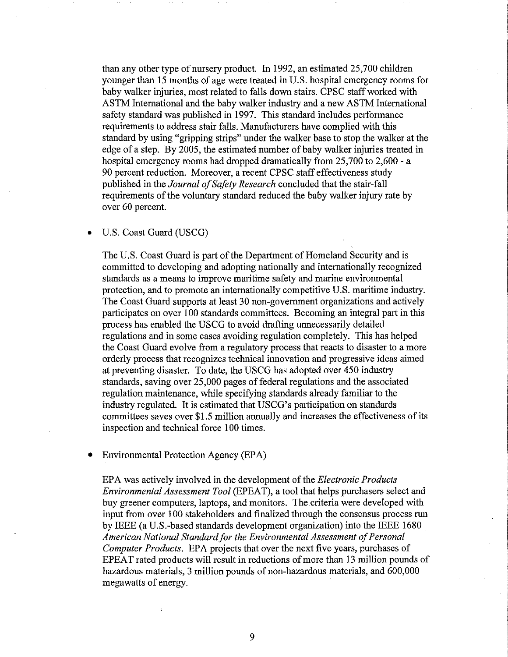than any other type of nursery product. In 1992, an estimated 25,700 children younger than 15 months of age were treated in U.S. hospital emergency rooms for baby walker injuries, most related to falls down stairs. CPSC staff worked with ASTM International and the baby walker industry and a new ASTM International safety standard was published in 1997. This standard includes performance requirements to address stair falls. Manufacturers have complied with this standard by using "gripping strips" under the walker base to stop the walker at the edge of a step. By 2005, the estimated number of baby walker injuries treated in hospital emergency rooms had dropped dramatically from 25,700 to 2,600 - a 90 percent reduction. Moreover, a recent CPSC staff effectiveness study published in the *Journal of Safety Research* concluded that the stair-fall requirements of the voluntary standard reduced the baby walker injury rate by over 60 percent.

#### • U.S. Coast Guard (USCG)

The U.S. Coast Guard is part of the Department of Homeland Security and is committed to developing and adopting nationally and internationally recognized standards as a means to improve maritime safety and marine environmental protection, and to promote an internationally competitive U.S. maritime industry. The Coast Guard supports at least 30 non-government organizations and actively participates on over 100 standards committees. Becoming an integral part in this process has enabled the USCG to avoid drafting unnecessarily detailed regulations and in some cases avoiding regulation completely. This has helped the Coast Guard evolve from a regulatory process that reacts to disaster to a more orderly process that recognizes technical innovation and progressive ideas aimed at preventing disaster. To date, the USCG has adopted over 450 industry standards, saving over 25,000 pages of federal regulations and the associated regulation maintenance, while specifying standards already familiar to the industry regulated. It is estimated that USCG's participation on standards committees saves over \$1.5 million annually and increases the effectiveness of its inspection and technical force 100 times.

#### • Environmental Protection Agency (EPA)

EPA was actively involved in the development of the *Electronic Products Environmental Assessment Tool* (EPEAT), a tool that helps purchasers select and buy greener computers, laptops, and monitors. The criteria were developed with input from over 100 stakeholders and finalized through the consensus process run by IEEE (a U.S.-based standards development organization) into the IEEE 1680 American National Standard for the Environmental Assessment of Personal *Computer Products.* EPA projects that over the next five years, purchases of EPEAT rated products will result in reductions of more than 13 million pounds of hazardous materials, 3 million pounds of non-hazardous materials, and 600,000 megawatts of energy.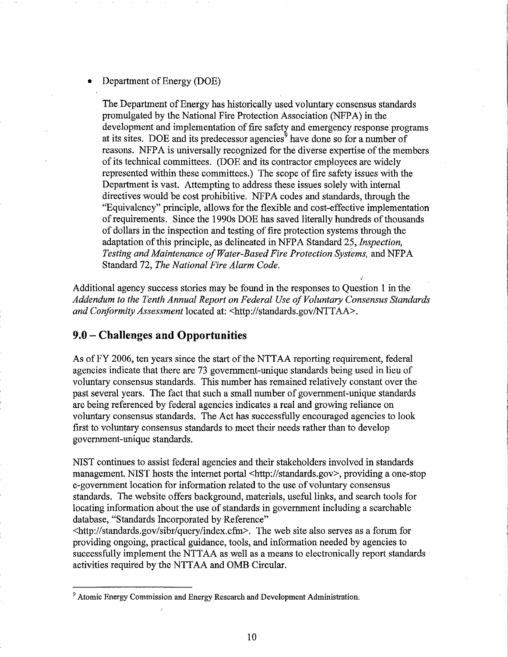#### **Department of Energy (DOE)**

The Department of Energy has historically used voluntary consensus standards promulgated by the National Fire Protection Association (NFPA) in the development and implementation of fire safety and emergency response programs at its sites. DOE and its predecessor agencies<sup>9</sup> have done so for a number of reasons. NFPA is universally recognized for the diverse expertise of the members of its technical committees. (DOE and its contractor employees are widely represented within these committees.) The scope of fire safety issues with the Department is vast. Attempting to address these issues solely with internal directives would be cost prohibitive. NFPA codes and standards, through the "Equivalency" principle, allows for the flexible and cost-effective implementation of requirements. Since the 1990s DOE has saved literally hundreds of thousands of dollars in the inspection and testing of fire protection systems through the adaptation of this principle, as delineated in NFPA Standard 25, *Inspection*, *Testing and Maintenance ofWater-Based Fire Protection Systems,* and NFPA Standard 72, *The National Fire Alarm Code.* 

Additional agency success stories may be found in the responses to Question I in the Addendum to the Tenth Annual Report on Federal Use of Voluntary Consensus Standards *and Conformity Assessment* located at: <http://standards.gov/NTTAA>.

#### **9.0 - Challenges and Opportunities**

As of FY 2006, ten years since the start of the NTTAA reporting requirement, federal agencies indicate that there are 73 government-unique standards being used in lieu of voluntary consensus standards. This number has remained relatively constant over the past several years. The fact that such a small number of government-unique standards are being referenced by federal agencies indicates a real and growing reliance on voluntary consensus standards. The Act has successfully encouraged agencies to look first to voluntary consensus standards to meet their needs rather than to develop government-unique standards.

NIST continues to assist federal agencies and their stakeholders involved in standards management. NIST hosts the internet portal <http://standards.gov>, providing a one-stop e-government location for information related to the use of voluntary consensus standards. The website offers background, materials, useful links, and search tools for locating information about the use of standards in government including a searchable database, "Standards Incorporated by Reference"

<http://standards.gov/sibr/query/index.cfm>. The web site also serves as a forum for providing ongoing, practical guidance, tools, and information needed by agencies to successfully implement the NITAA as well as a means to electronically report standards activities required by the NTTAA and OMB Circular.

<sup>&</sup>lt;sup>9</sup> Atomic Energy Commission and Energy Research and Development Administration.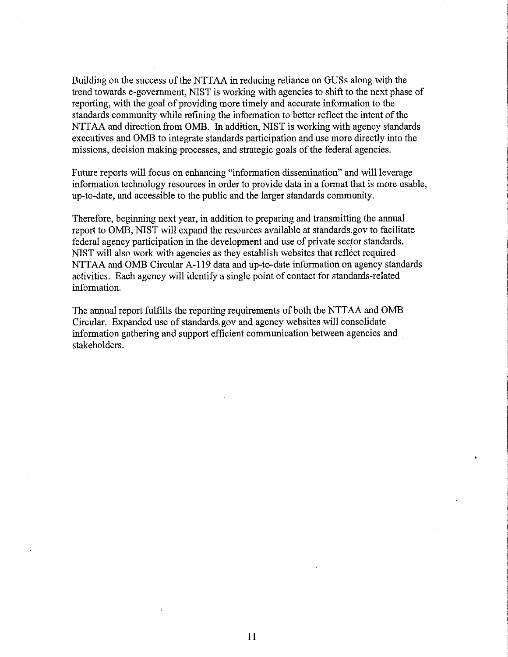Building on the success of the NTIAA in reducing reliance on GUSs along with the trend towards e-government, NIST is working with agencies to shift to the next phase of reporting, with the goal of providing more timely and accurate information to the standards community while refining the information to better reflect the intent of the NTTAA and direction from OMB. In addition, NIST is working with agency standards executives and OMB to integrate standards participation and use more directly into the missions, decision making processes, and strategic goals of the federal agencies.

Future reports will focus on enhancing "information dissemination" and will leverage information technology resources in order to provide data in a format that is more usable, up-to-date, and accessible to the public and the larger standards community.

Therefore, beginning next year, in addition to preparing and transmitting the annual report to OMB, NIST will expand the resources available at standards.gov to facilitate federal agency participation in the development and use of private sector standards. NIST will also work with agencies as they establish websites that reflect required NTTAA and OMB Circular A-119 data and up-to-date information on agency standards activities. Each agency will identify a single point of contact for standards-related information.

The annual report fulfills the reporting requirements of both the NTTAA and OMB Circular. Expanded use of standards.gov and agency websites will consolidate information gathering and support efficient communication between agencies and stakeholders.

11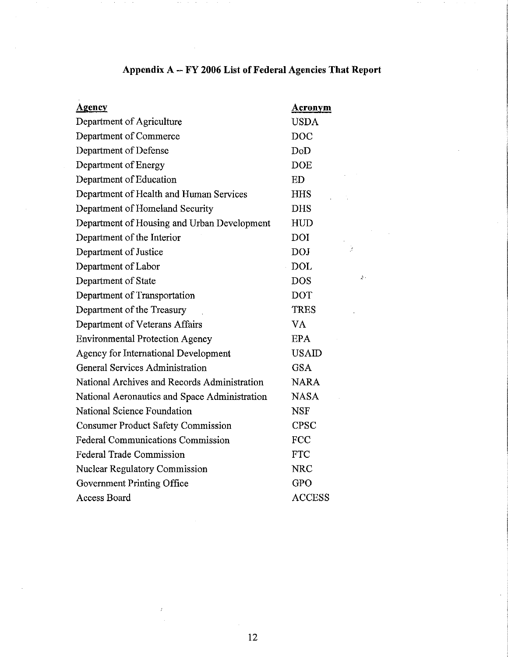| <u>Agency</u>                                 | Acronym       |
|-----------------------------------------------|---------------|
| Department of Agriculture                     | <b>USDA</b>   |
| Department of Commerce                        | <b>DOC</b>    |
| Department of Defense                         | DoD           |
| Department of Energy                          | <b>DOE</b>    |
| Department of Education                       | ED            |
| Department of Health and Human Services       | <b>HHS</b>    |
| Department of Homeland Security               | <b>DHS</b>    |
| Department of Housing and Urban Development   | <b>HUD</b>    |
| Department of the Interior                    | <b>DOI</b>    |
| Department of Justice                         | DOJ           |
| Department of Labor                           | <b>DOL</b>    |
| Department of State                           | <b>DOS</b>    |
| Department of Transportation                  | <b>DOT</b>    |
| Department of the Treasury                    | <b>TRES</b>   |
| Department of Veterans Affairs                | VA            |
| <b>Environmental Protection Agency</b>        | <b>EPA</b>    |
| Agency for International Development          | <b>USAID</b>  |
| <b>General Services Administration</b>        | <b>GSA</b>    |
| National Archives and Records Administration  | <b>NARA</b>   |
| National Aeronautics and Space Administration | <b>NASA</b>   |
| National Science Foundation                   | <b>NSF</b>    |
| <b>Consumer Product Safety Commission</b>     | <b>CPSC</b>   |
| <b>Federal Communications Commission</b>      | <b>FCC</b>    |
| <b>Federal Trade Commission</b>               | <b>FTC</b>    |
| <b>Nuclear Regulatory Commission</b>          | <b>NRC</b>    |
| Government Printing Office                    | <b>GPO</b>    |
| <b>Access Board</b>                           | <b>ACCESS</b> |

# **Appendix** A -- **FY 2006 List** of Federal **Agencies That Report**

 $\frac{\Lambda}{2}$  .

 $\bar{z}$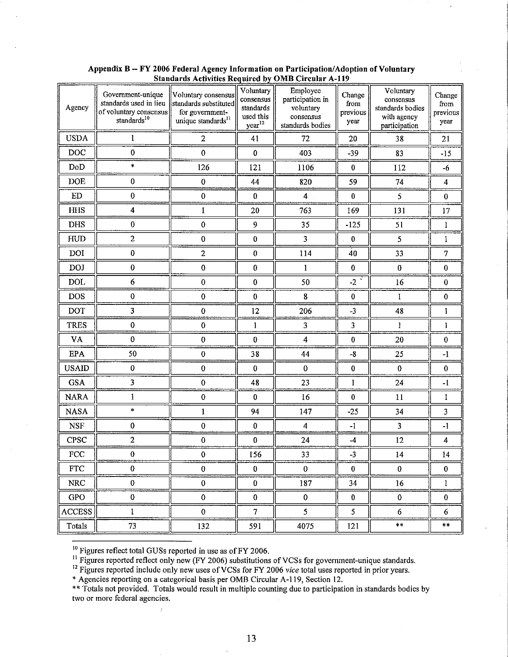| Agency         | Government-unique<br>standards used in lieu<br>of voluntary consensus<br>standards $^{10}$ | Voluntary consensus<br>standards substituted<br>for government-<br>unique standards <sup>11</sup> | Voluntary<br>consensus<br>standards<br>used this<br>year <sup>12</sup> | Employee<br>participation in<br>voluntary<br>consensus<br>standards bodies | Change<br>from<br>previous<br>year | Voluntary<br>consensus<br>standards bodies<br>with agency<br>participation | Change<br>from<br>previous<br>year |
|----------------|--------------------------------------------------------------------------------------------|---------------------------------------------------------------------------------------------------|------------------------------------------------------------------------|----------------------------------------------------------------------------|------------------------------------|----------------------------------------------------------------------------|------------------------------------|
| <b>USDA</b>    | 1                                                                                          | $\overline{2}$                                                                                    | 41                                                                     | 72                                                                         | 20                                 | 38                                                                         | 21                                 |
| <b>DOC</b>     | $\bf{0}$                                                                                   | $\bf{0}$                                                                                          | $\pmb{0}$                                                              | 403                                                                        | $-39$                              | 83                                                                         | $-15$                              |
| $\mathrm{DoD}$ | $\frac{1}{2}$                                                                              | 126                                                                                               | 121                                                                    | 1106                                                                       | $\bf{0}$                           | 112                                                                        | $-6$                               |
| DOE            | $\pmb{0}$                                                                                  | $\bf{0}$                                                                                          | 44                                                                     | 820                                                                        | 59                                 | 74                                                                         | $\overline{4}$                     |
| ${\rm ED}$     | $\pmb{0}$                                                                                  | $\pmb{0}$                                                                                         | $\bf{0}$                                                               | $\overline{4}$                                                             | $\bf{0}$                           | 5                                                                          | $\bf{0}$                           |
| <b>HHS</b>     | $\overline{\mathbf{4}}$                                                                    | $\mathbf{I}$                                                                                      | 20                                                                     | 763                                                                        | 169                                | 131                                                                        | $17\,$                             |
| <b>DHS</b>     | $\bf{0}$                                                                                   | $\bf{0}$                                                                                          | $\boldsymbol{9}$                                                       | 35                                                                         | $-125$                             | 51                                                                         | $\mathbf{1}$                       |
| HUD            | $\overline{c}$                                                                             | $\bf{0}$                                                                                          | $\bf{0}$                                                               | 3                                                                          | $\boldsymbol{0}$                   | 5                                                                          | 1                                  |
| DOI            | $\pmb{0}$                                                                                  | $\overline{2}$                                                                                    | $\bf{0}$                                                               | 114                                                                        | 40                                 | 33                                                                         | $\overline{7}$                     |
| <b>DOJ</b>     | $\pmb{0}$                                                                                  | $\pmb{0}$                                                                                         | $\pmb{0}$                                                              | $\mathbf{1}$                                                               | $\bf{0}$                           | $\pmb{0}$                                                                  | $\pmb{0}$                          |
| DOL            | 6                                                                                          | $\pmb{0}$                                                                                         | $\boldsymbol{0}$                                                       | 50                                                                         | $-2$                               | 16                                                                         | $\bf{0}$                           |
| <b>DOS</b>     | $\pmb{0}$                                                                                  | $\pmb{0}$                                                                                         | $\bf{0}$                                                               | 8                                                                          | $\pmb{0}$                          | 1                                                                          | $\bf{0}$                           |
| <b>DOT</b>     | $\overline{\mathbf{3}}$                                                                    | $\pmb{0}$                                                                                         | 12                                                                     | 206                                                                        | $-3$                               | 48                                                                         | 1                                  |
| <b>TRES</b>    | $\bf{0}$                                                                                   | $\bf{0}$                                                                                          | $\mathbf{1}$                                                           | $\overline{\mathbf{3}}$                                                    | 3                                  | $\,1$                                                                      | l                                  |
| VA             | $\pmb{0}$                                                                                  | 0                                                                                                 | $\bf{0}$                                                               | $\overline{\mathbf{4}}$                                                    | $\pmb{0}$                          | 20                                                                         | $\pmb{0}$                          |
| EPA            | 50                                                                                         | $\bf{0}$                                                                                          | 38                                                                     | 44                                                                         | $-8$                               | 25                                                                         | $-1$                               |
| <b>USAID</b>   | $\bf{0}$                                                                                   | $\bf{0}$                                                                                          | $\bf{0}$                                                               | $\bf{0}$                                                                   | $\pmb{0}$                          | $\pmb{0}$                                                                  | $\bf{0}$                           |
| <b>GSA</b>     | $\overline{\mathbf{3}}$                                                                    | $\bf{0}$                                                                                          | 48                                                                     | 23                                                                         | $\mathbf{1}$                       | 24                                                                         | $-1$                               |
| <b>NARA</b>    | 1                                                                                          | $\bf{0}$                                                                                          | $\bf{0}$                                                               | 16                                                                         | 0                                  | 11                                                                         | 1                                  |
| <b>NASA</b>    | $\ast$                                                                                     | $\mathbf{1}$                                                                                      | 94                                                                     | 147                                                                        | $-25$                              | 34                                                                         | $\overline{3}$                     |
| <b>NSF</b>     | $\pmb{0}$                                                                                  | $\bf{0}$                                                                                          | $\pmb{0}$                                                              | $\overline{\mathbf{4}}$                                                    | $-1$                               | 3                                                                          | $-1$                               |
| CPSC           | $\overline{2}$                                                                             | $\pmb{0}$                                                                                         | $\bf{0}$                                                               | 24                                                                         | $-4$                               | 12                                                                         | $\overline{\mathbf{4}}$            |
| FCC            | $\pmb{0}$                                                                                  | $\pmb{0}$                                                                                         | 156                                                                    | 33                                                                         | $-3$                               | 14                                                                         | 14                                 |
| <b>FTC</b>     | $\bf{0}$                                                                                   | $\bf{0}$                                                                                          | $\bf{0}$                                                               | $\bf{0}$                                                                   | $\overline{0}$                     | $\bf{0}$                                                                   | $\mathbf{0}$                       |
| <b>NRC</b>     | $\pmb{0}$                                                                                  | $\bf{0}$                                                                                          | $\bf{0}$                                                               | 187                                                                        | 34                                 | 16                                                                         | $\mathbf{1}$                       |
| <b>GPO</b>     | $\pmb{0}$                                                                                  | $\pmb{0}$                                                                                         | $\bf{0}$                                                               | $\bf{0}$                                                                   | $\pmb{0}$                          | $\bf{0}$                                                                   | $\bf{0}$                           |
| <b>ACCESS</b>  | $\mathbf{1}$                                                                               | $\mathbf{0}$                                                                                      | $\overline{7}$                                                         | 5 <sub>1</sub>                                                             | 5                                  | 6                                                                          | 6                                  |
| Totals         | 73                                                                                         | 132                                                                                               | 591                                                                    | 4075                                                                       | 121                                | $\ast\ast$                                                                 | $**$                               |

Appendix B -- FY 2006 Federal Agency Information on Participation/Adoption of Voluntary Standards Activities Required by OMB Circular A-119

 $10$  Figures reflect total GUSs reported in use as of FY 2006.

ý.

<sup>11</sup> Figures reported reflect only new (FY 2006) substitutions of VCSs for government-unique standards.

<sup>12</sup> Figures reported include only new uses of VCSs for FY 2006 *vice* total uses reported in prior years.

• Agencies reporting on a categorical basis per OMB Circular A-119, Section 12.

•• Totals not provided. Totals would result in multiple counting due to participation in standards bodies by **two or more federal agencies.**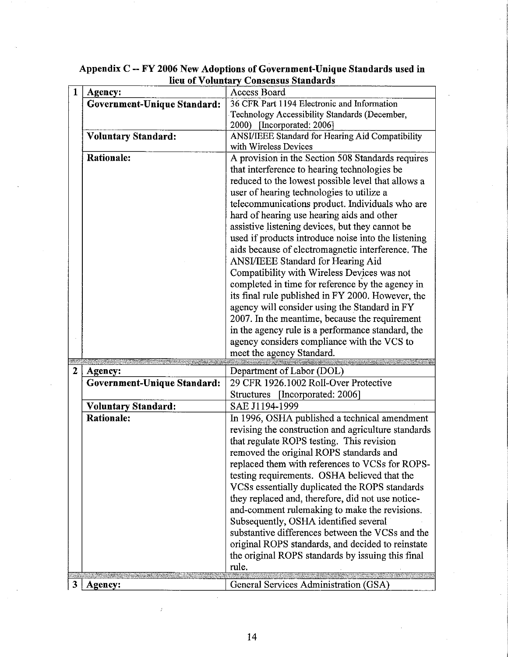| $\mathbf{1}$ | Agency:                     | <b>Access Board</b>                                     |
|--------------|-----------------------------|---------------------------------------------------------|
|              | Government-Unique Standard: | 36 CFR Part 1194 Electronic and Information             |
|              |                             | Technology Accessibility Standards (December,           |
|              |                             | 2000) [Incorporated: 2006]                              |
|              | <b>Voluntary Standard:</b>  | <b>ANSI/IEEE Standard for Hearing Aid Compatibility</b> |
|              |                             | with Wireless Devices                                   |
|              | <b>Rationale:</b>           | A provision in the Section 508 Standards requires       |
|              |                             | that interference to hearing technologies be            |
|              |                             | reduced to the lowest possible level that allows a      |
|              |                             | user of hearing technologies to utilize a               |
|              |                             | telecommunications product. Individuals who are         |
|              |                             | hard of hearing use hearing aids and other              |
|              |                             | assistive listening devices, but they cannot be         |
|              |                             | used if products introduce noise into the listening     |
|              |                             | aids because of electromagnetic interference. The       |
|              |                             | <b>ANSI/IEEE Standard for Hearing Aid</b>               |
|              |                             | Compatibility with Wireless Devices was not             |
|              |                             | completed in time for reference by the agency in        |
|              |                             | its final rule published in FY 2000. However, the       |
|              |                             | agency will consider using the Standard in FY           |
|              |                             | 2007. In the meantime, because the requirement          |
|              |                             | in the agency rule is a performance standard, the       |
|              |                             | agency considers compliance with the VCS to             |
|              |                             | meet the agency Standard.                               |
|              |                             |                                                         |
| $\mathbf{2}$ | Agency:                     | Department of Labor (DOL)                               |
|              | Government-Unique Standard: | 29 CFR 1926.1002 Roll-Over Protective                   |
|              |                             | [Incorporated: 2006]<br>Structures                      |
|              | <b>Voluntary Standard:</b>  | SAE J1194-1999                                          |
|              | <b>Rationale:</b>           | In 1996, OSHA published a technical amendment           |
|              |                             | revising the construction and agriculture standards     |
|              |                             | that regulate ROPS testing. This revision               |
|              |                             | removed the original ROPS standards and                 |
|              |                             | replaced them with references to VCSs for ROPS-         |
|              |                             | testing requirements. OSHA believed that the            |
|              |                             | VCSs essentially duplicated the ROPS standards          |
|              |                             | they replaced and, therefore, did not use notice-       |
|              |                             | and-comment rulemaking to make the revisions.           |
|              |                             | Subsequently, OSHA identified several                   |
|              |                             | substantive differences between the VCSs and the        |
|              |                             | original ROPS standards, and decided to reinstate       |
|              |                             | the original ROPS standards by issuing this final       |
|              |                             | rule.                                                   |
|              |                             |                                                         |
| 3            | Agency:                     | General Services Administration (GSA)                   |

# **Appendix** C -- **FY 2006 New Adoptions of Government-Unique Standards used in 16 New Adoptions of Government-Unique 1**<br>**<u>lieu of Voluntary Consensus Standards</u>**

 $\bar{t}$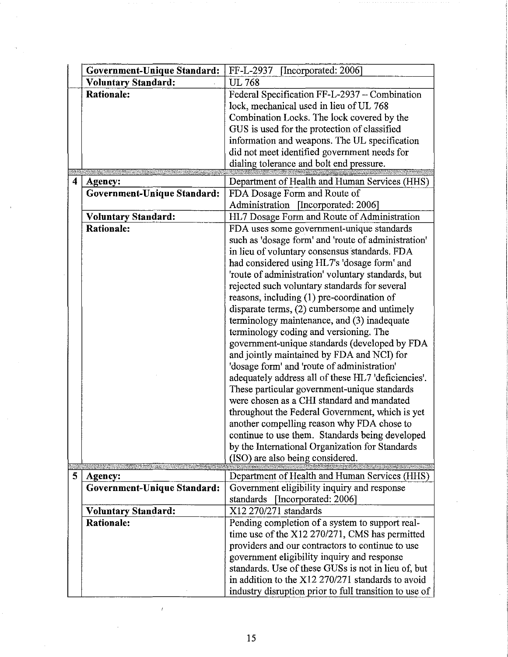|   | Government-Unique Standard: | [Incorporated: 2006]<br>FF-L-2937                      |
|---|-----------------------------|--------------------------------------------------------|
|   | <b>Voluntary Standard:</b>  | <b>UL 768</b>                                          |
|   | <b>Rationale:</b>           | Federal Specification FF-L-2937 - Combination          |
|   |                             | lock, mechanical used in lieu of UL 768                |
|   |                             | Combination Locks. The lock covered by the             |
|   |                             | GUS is used for the protection of classified           |
|   |                             | information and weapons. The UL specification          |
|   |                             | did not meet identified government needs for           |
|   |                             | dialing tolerance and bolt end pressure.               |
| 4 | Agency:                     | Department of Health and Human Services (HHS)          |
|   | Government-Unique Standard: | FDA Dosage Form and Route of                           |
|   |                             | Administration [Incorporated: 2006]                    |
|   | Voluntary Standard:         | HL7 Dosage Form and Route of Administration            |
|   | <b>Rationale:</b>           | FDA uses some government-unique standards              |
|   |                             | such as 'dosage form' and 'route of administration'    |
|   |                             | in lieu of voluntary consensus standards. FDA          |
|   |                             | had considered using HL7's 'dosage form' and           |
|   |                             | 'route of administration' voluntary standards, but     |
|   |                             | rejected such voluntary standards for several          |
|   |                             | reasons, including $(1)$ pre-coordination of           |
|   |                             | disparate terms, (2) cumbersome and untimely           |
|   |                             | terminology maintenance, and (3) inadequate            |
|   |                             | terminology coding and versioning. The                 |
|   |                             | government-unique standards (developed by FDA          |
|   |                             | and jointly maintained by FDA and NCI) for             |
|   |                             | 'dosage form' and 'route of administration'            |
|   |                             | adequately address all of these HL7 'deficiencies'.    |
|   |                             | These particular government-unique standards           |
|   |                             | were chosen as a CHI standard and mandated             |
|   |                             | throughout the Federal Government, which is yet        |
|   |                             | another compelling reason why FDA chose to             |
|   |                             | continue to use them. Standards being developed        |
|   |                             | by the International Organization for Standards        |
|   |                             | (ISO) are also being considered.                       |
| 5 | Agency:                     | Department of Health and Human Services (HHS)          |
|   | Government-Unique Standard: | Government eligibility inquiry and response            |
|   |                             | standards [Incorporated: 2006]                         |
|   | Voluntary Standard:         | X12 270/271 standards                                  |
|   | <b>Rationale:</b>           | Pending completion of a system to support real-        |
|   |                             | time use of the X12 270/271, CMS has permitted         |
|   |                             | providers and our contractors to continue to use       |
|   |                             | government eligibility inquiry and response            |
|   |                             | standards. Use of these GUSs is not in lieu of, but    |
|   |                             | in addition to the X12 270/271 standards to avoid      |
|   |                             | industry disruption prior to full transition to use of |